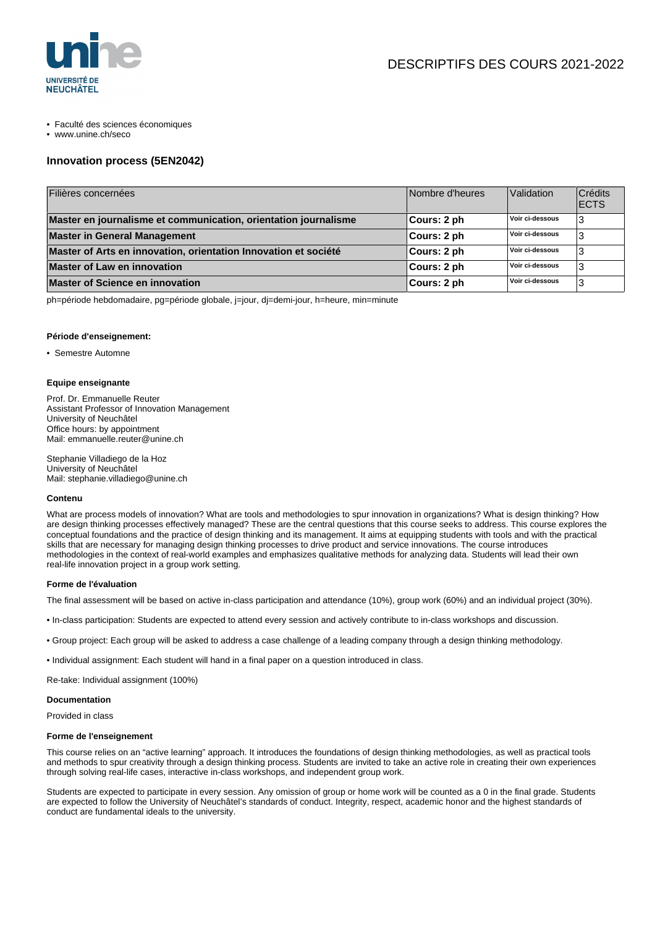

- Faculté des sciences économiques
- www.unine.ch/seco

# **Innovation process (5EN2042)**

| Filières concernées                                             | Nombre d'heures | Validation      | Crédits<br><b>ECTS</b> |
|-----------------------------------------------------------------|-----------------|-----------------|------------------------|
| Master en journalisme et communication, orientation journalisme | Cours: 2 ph     | Voir ci-dessous |                        |
| <b>Master in General Management</b>                             | Cours: 2 ph     | Voir ci-dessous |                        |
| Master of Arts en innovation, orientation Innovation et société | Cours: 2 ph     | Voir ci-dessous |                        |
| <b>Master of Law en innovation</b>                              | Cours: 2 ph     | Voir ci-dessous |                        |
| <b>Master of Science en innovation</b>                          | Cours: 2 ph     | Voir ci-dessous |                        |

ph=période hebdomadaire, pg=période globale, j=jour, dj=demi-jour, h=heure, min=minute

### **Période d'enseignement:**

• Semestre Automne

## **Equipe enseignante**

Prof. Dr. Emmanuelle Reuter Assistant Professor of Innovation Management University of Neuchâtel Office hours: by appointment Mail: emmanuelle.reuter@unine.ch

Stephanie Villadiego de la Hoz University of Neuchâtel Mail: stephanie.villadiego@unine.ch

## **Contenu**

What are process models of innovation? What are tools and methodologies to spur innovation in organizations? What is design thinking? How are design thinking processes effectively managed? These are the central questions that this course seeks to address. This course explores the conceptual foundations and the practice of design thinking and its management. It aims at equipping students with tools and with the practical skills that are necessary for managing design thinking processes to drive product and service innovations. The course introduces methodologies in the context of real-world examples and emphasizes qualitative methods for analyzing data. Students will lead their own real-life innovation project in a group work setting.

#### **Forme de l'évaluation**

The final assessment will be based on active in-class participation and attendance (10%), group work (60%) and an individual project (30%).

- In-class participation: Students are expected to attend every session and actively contribute to in-class workshops and discussion.
- Group project: Each group will be asked to address a case challenge of a leading company through a design thinking methodology.
- Individual assignment: Each student will hand in a final paper on a question introduced in class.

Re-take: Individual assignment (100%)

#### **Documentation**

Provided in class

#### **Forme de l'enseignement**

This course relies on an "active learning" approach. It introduces the foundations of design thinking methodologies, as well as practical tools and methods to spur creativity through a design thinking process. Students are invited to take an active role in creating their own experiences through solving real-life cases, interactive in-class workshops, and independent group work.

Students are expected to participate in every session. Any omission of group or home work will be counted as a 0 in the final grade. Students are expected to follow the University of Neuchâtel's standards of conduct. Integrity, respect, academic honor and the highest standards of conduct are fundamental ideals to the university.